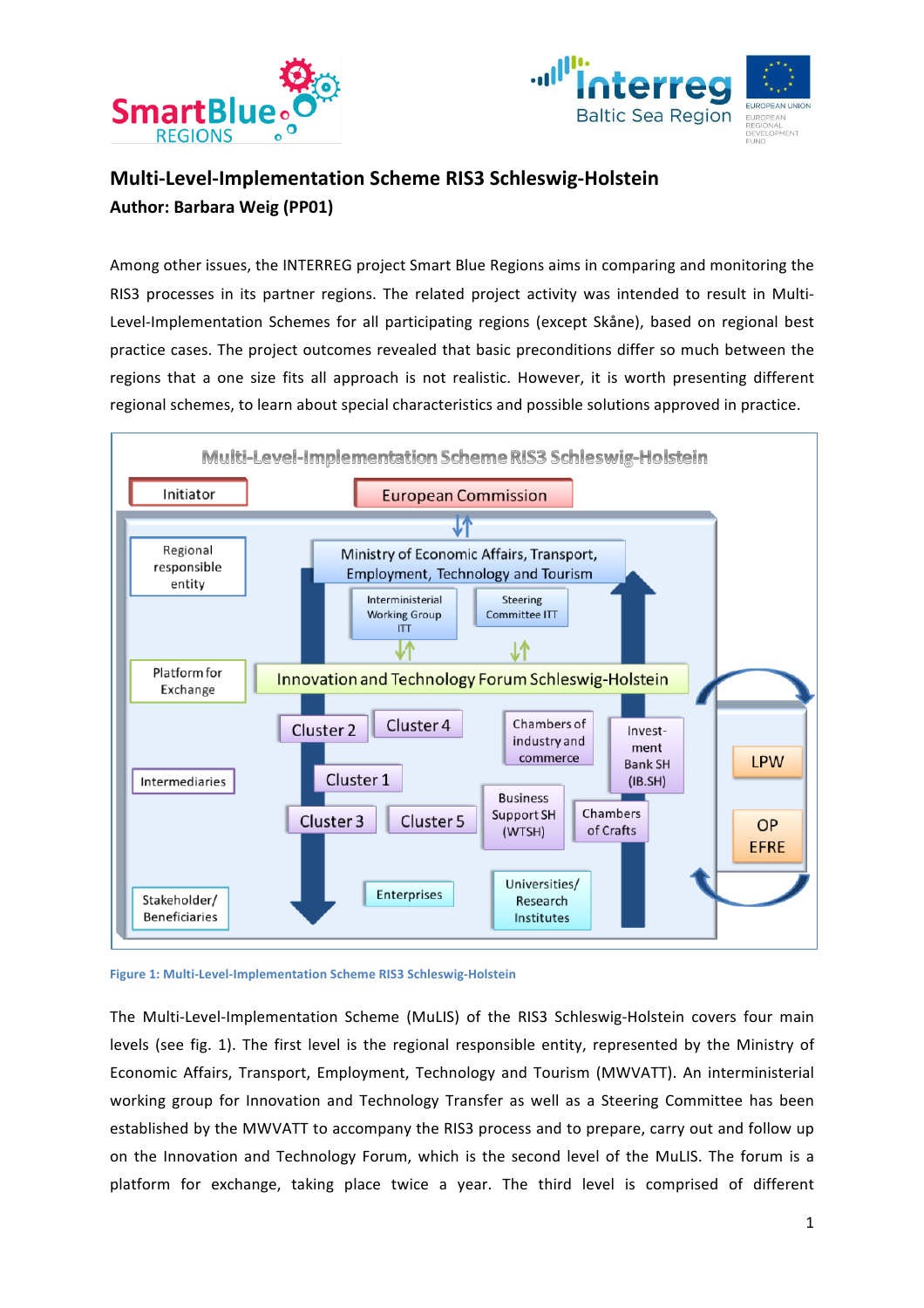



# **Multi-Level-Implementation Scheme RIS3 Schleswig-Holstein Author: Barbara Weig (PP01)**

Among other issues, the INTERREG project Smart Blue Regions aims in comparing and monitoring the RIS3 processes in its partner regions. The related project activity was intended to result in Multi-Level-Implementation Schemes for all participating regions (except Skåne), based on regional best practice cases. The project outcomes revealed that basic preconditions differ so much between the regions that a one size fits all approach is not realistic. However, it is worth presenting different regional schemes, to learn about special characteristics and possible solutions approved in practice.



**Figure 1: Multi-Level-Implementation Scheme RIS3 Schleswig-Holstein** 

The Multi-Level-Implementation Scheme (MuLIS) of the RIS3 Schleswig-Holstein covers four main levels (see fig. 1). The first level is the regional responsible entity, represented by the Ministry of Economic Affairs, Transport, Employment, Technology and Tourism (MWVATT). An interministerial working group for Innovation and Technology Transfer as well as a Steering Committee has been established by the MWVATT to accompany the RIS3 process and to prepare, carry out and follow up on the Innovation and Technology Forum, which is the second level of the MuLIS. The forum is a platform for exchange, taking place twice a year. The third level is comprised of different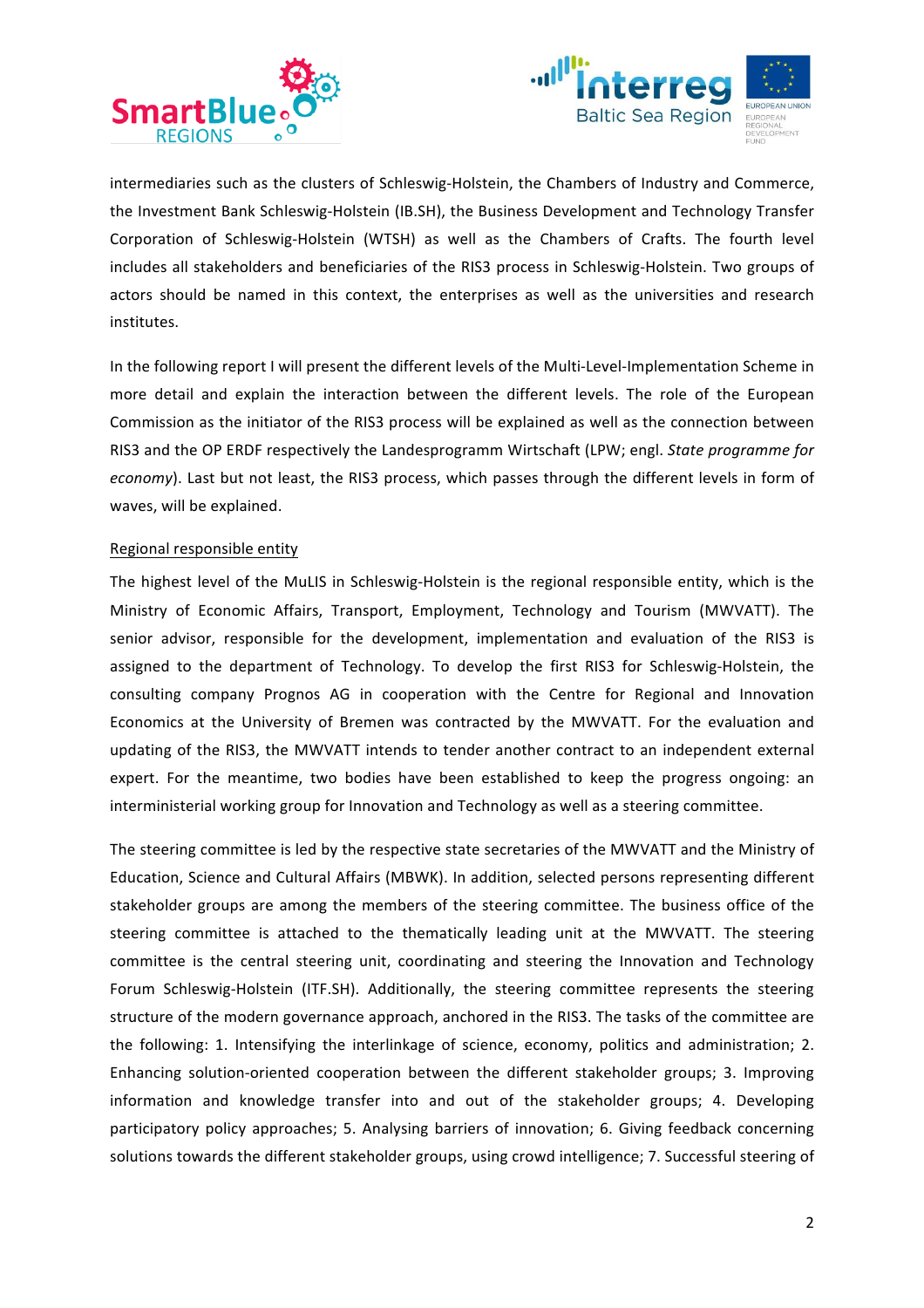



intermediaries such as the clusters of Schleswig-Holstein, the Chambers of Industry and Commerce, the Investment Bank Schleswig-Holstein (IB.SH), the Business Development and Technology Transfer Corporation of Schleswig-Holstein (WTSH) as well as the Chambers of Crafts. The fourth level includes all stakeholders and beneficiaries of the RIS3 process in Schleswig-Holstein. Two groups of actors should be named in this context, the enterprises as well as the universities and research institutes. 

In the following report I will present the different levels of the Multi-Level-Implementation Scheme in more detail and explain the interaction between the different levels. The role of the European Commission as the initiator of the RIS3 process will be explained as well as the connection between RIS3 and the OP ERDF respectively the Landesprogramm Wirtschaft (LPW; engl. *State programme for economy*). Last but not least, the RIS3 process, which passes through the different levels in form of waves, will be explained.

## Regional responsible entity

The highest level of the MuLIS in Schleswig-Holstein is the regional responsible entity, which is the Ministry of Economic Affairs, Transport, Employment, Technology and Tourism (MWVATT). The senior advisor, responsible for the development, implementation and evaluation of the RIS3 is assigned to the department of Technology. To develop the first RIS3 for Schleswig-Holstein, the consulting company Prognos AG in cooperation with the Centre for Regional and Innovation Economics at the University of Bremen was contracted by the MWVATT. For the evaluation and updating of the RIS3, the MWVATT intends to tender another contract to an independent external expert. For the meantime, two bodies have been established to keep the progress ongoing: an interministerial working group for Innovation and Technology as well as a steering committee.

The steering committee is led by the respective state secretaries of the MWVATT and the Ministry of Education, Science and Cultural Affairs (MBWK). In addition, selected persons representing different stakeholder groups are among the members of the steering committee. The business office of the steering committee is attached to the thematically leading unit at the MWVATT. The steering committee is the central steering unit, coordinating and steering the Innovation and Technology Forum Schleswig-Holstein (ITF.SH). Additionally, the steering committee represents the steering structure of the modern governance approach, anchored in the RIS3. The tasks of the committee are the following: 1. Intensifying the interlinkage of science, economy, politics and administration; 2. Enhancing solution-oriented cooperation between the different stakeholder groups; 3. Improving information and knowledge transfer into and out of the stakeholder groups; 4. Developing participatory policy approaches; 5. Analysing barriers of innovation; 6. Giving feedback concerning solutions towards the different stakeholder groups, using crowd intelligence; 7. Successful steering of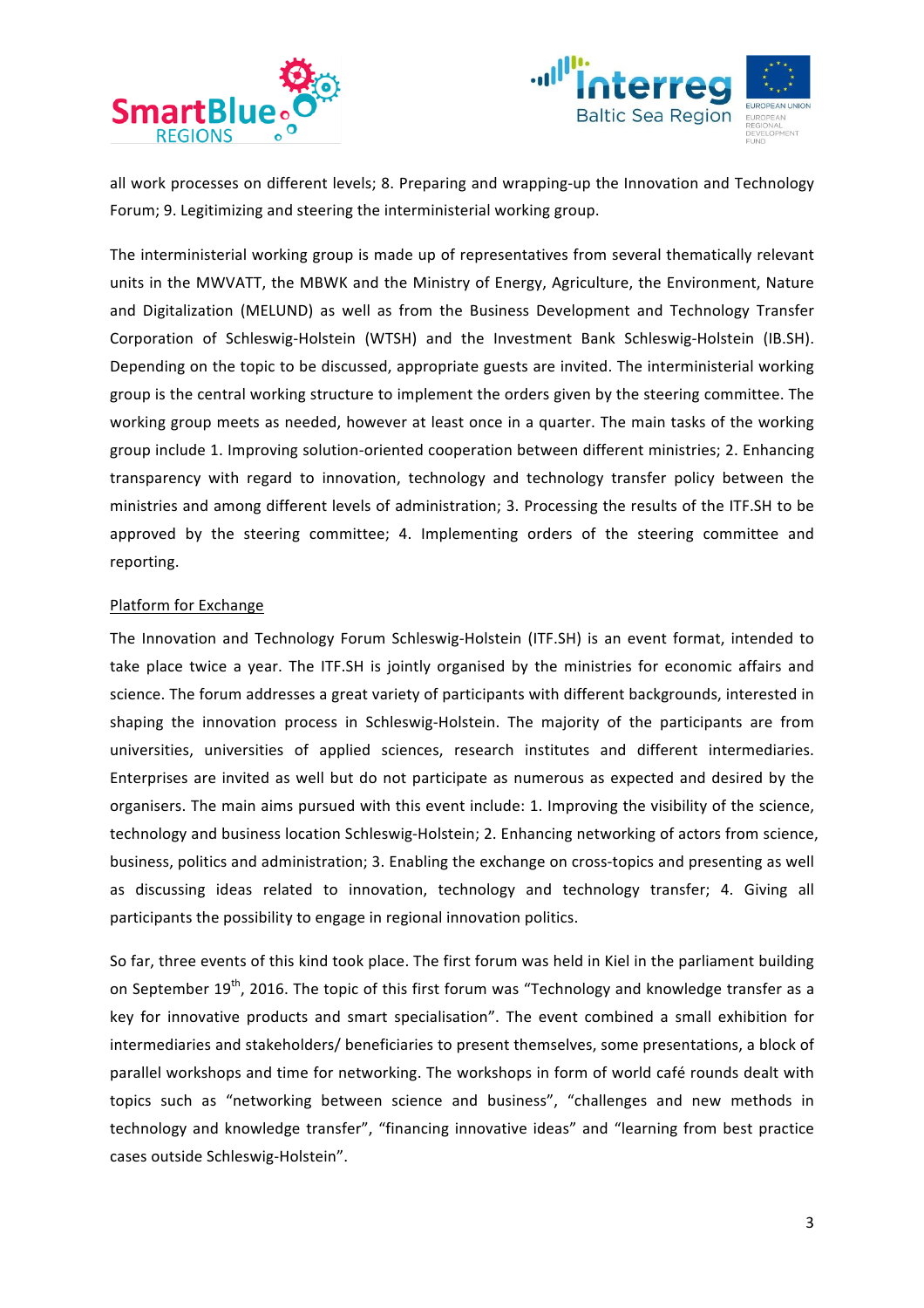



all work processes on different levels; 8. Preparing and wrapping-up the Innovation and Technology Forum; 9. Legitimizing and steering the interministerial working group.

The interministerial working group is made up of representatives from several thematically relevant units in the MWVATT, the MBWK and the Ministry of Energy, Agriculture, the Environment, Nature and Digitalization (MELUND) as well as from the Business Development and Technology Transfer Corporation of Schleswig-Holstein (WTSH) and the Investment Bank Schleswig-Holstein (IB.SH). Depending on the topic to be discussed, appropriate guests are invited. The interministerial working group is the central working structure to implement the orders given by the steering committee. The working group meets as needed, however at least once in a quarter. The main tasks of the working group include 1. Improving solution-oriented cooperation between different ministries; 2. Enhancing transparency with regard to innovation, technology and technology transfer policy between the ministries and among different levels of administration; 3. Processing the results of the ITF.SH to be approved by the steering committee; 4. Implementing orders of the steering committee and reporting. 

# Platform for Exchange

The Innovation and Technology Forum Schleswig-Holstein (ITF.SH) is an event format, intended to take place twice a year. The ITF.SH is jointly organised by the ministries for economic affairs and science. The forum addresses a great variety of participants with different backgrounds, interested in shaping the innovation process in Schleswig-Holstein. The majority of the participants are from universities, universities of applied sciences, research institutes and different intermediaries. Enterprises are invited as well but do not participate as numerous as expected and desired by the organisers. The main aims pursued with this event include: 1. Improving the visibility of the science, technology and business location Schleswig-Holstein; 2. Enhancing networking of actors from science, business, politics and administration; 3. Enabling the exchange on cross-topics and presenting as well as discussing ideas related to innovation, technology and technology transfer; 4. Giving all participants the possibility to engage in regional innovation politics.

So far, three events of this kind took place. The first forum was held in Kiel in the parliament building on September  $19^{th}$ , 2016. The topic of this first forum was "Technology and knowledge transfer as a key for innovative products and smart specialisation". The event combined a small exhibition for intermediaries and stakeholders/ beneficiaries to present themselves, some presentations, a block of parallel workshops and time for networking. The workshops in form of world café rounds dealt with topics such as "networking between science and business", "challenges and new methods in technology and knowledge transfer", "financing innovative ideas" and "learning from best practice cases outside Schleswig-Holstein".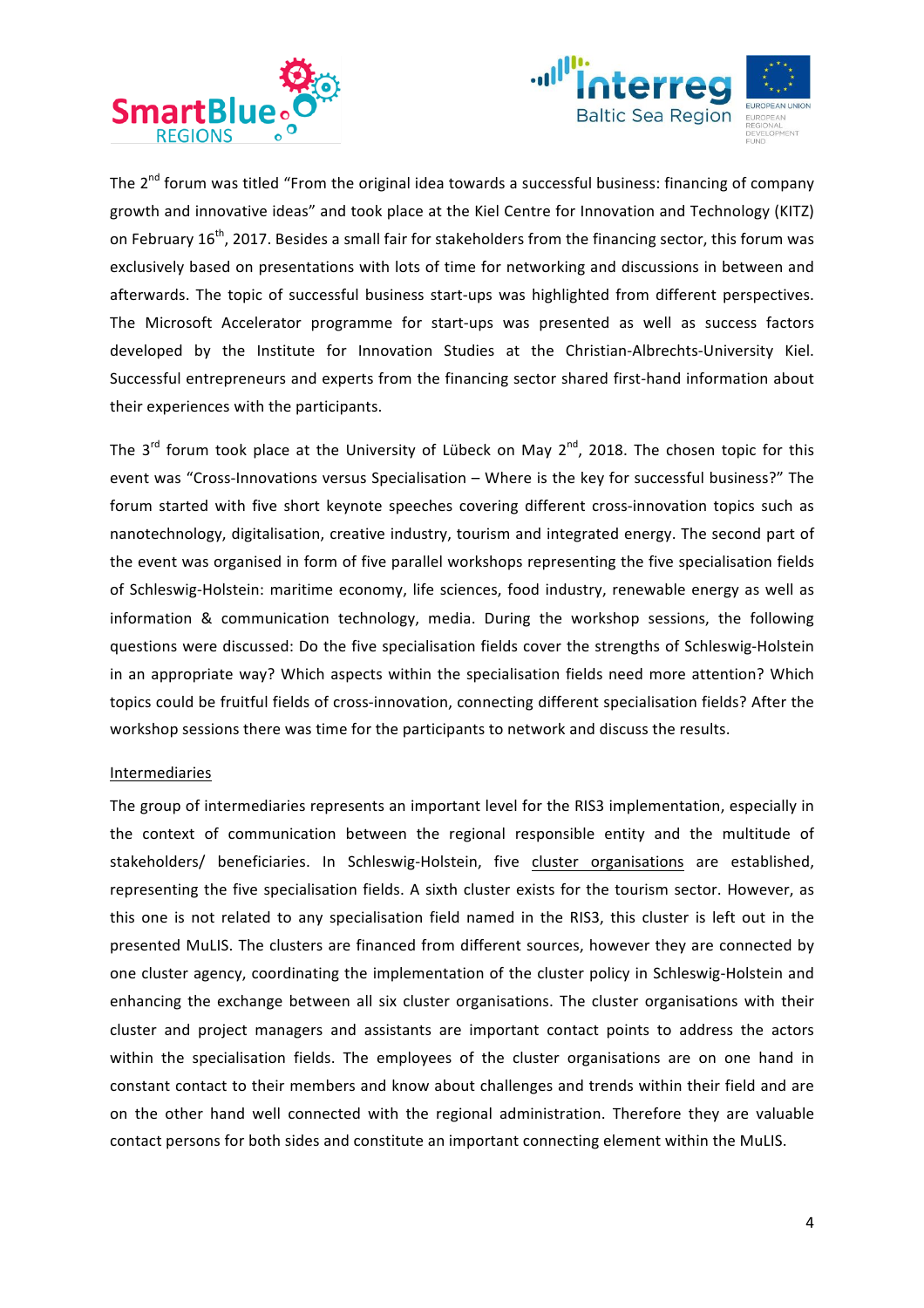



The  $2^{nd}$  forum was titled "From the original idea towards a successful business: financing of company growth and innovative ideas" and took place at the Kiel Centre for Innovation and Technology (KITZ) on February  $16^{th}$ , 2017. Besides a small fair for stakeholders from the financing sector, this forum was exclusively based on presentations with lots of time for networking and discussions in between and afterwards. The topic of successful business start-ups was highlighted from different perspectives. The Microsoft Accelerator programme for start-ups was presented as well as success factors developed by the Institute for Innovation Studies at the Christian-Albrechts-University Kiel. Successful entrepreneurs and experts from the financing sector shared first-hand information about their experiences with the participants.

The  $3^{rd}$  forum took place at the University of Lübeck on May  $2^{nd}$ , 2018. The chosen topic for this event was "Cross-Innovations versus Specialisation – Where is the key for successful business?" The forum started with five short keynote speeches covering different cross-innovation topics such as nanotechnology, digitalisation, creative industry, tourism and integrated energy. The second part of the event was organised in form of five parallel workshops representing the five specialisation fields of Schleswig-Holstein: maritime economy, life sciences, food industry, renewable energy as well as information & communication technology, media. During the workshop sessions, the following questions were discussed: Do the five specialisation fields cover the strengths of Schleswig-Holstein in an appropriate way? Which aspects within the specialisation fields need more attention? Which topics could be fruitful fields of cross-innovation, connecting different specialisation fields? After the workshop sessions there was time for the participants to network and discuss the results.

## Intermediaries

The group of intermediaries represents an important level for the RIS3 implementation, especially in the context of communication between the regional responsible entity and the multitude of stakeholders/ beneficiaries. In Schleswig-Holstein, five cluster organisations are established, representing the five specialisation fields. A sixth cluster exists for the tourism sector. However, as this one is not related to any specialisation field named in the RIS3, this cluster is left out in the presented MuLIS. The clusters are financed from different sources, however they are connected by one cluster agency, coordinating the implementation of the cluster policy in Schleswig-Holstein and enhancing the exchange between all six cluster organisations. The cluster organisations with their cluster and project managers and assistants are important contact points to address the actors within the specialisation fields. The employees of the cluster organisations are on one hand in constant contact to their members and know about challenges and trends within their field and are on the other hand well connected with the regional administration. Therefore they are valuable contact persons for both sides and constitute an important connecting element within the MuLIS.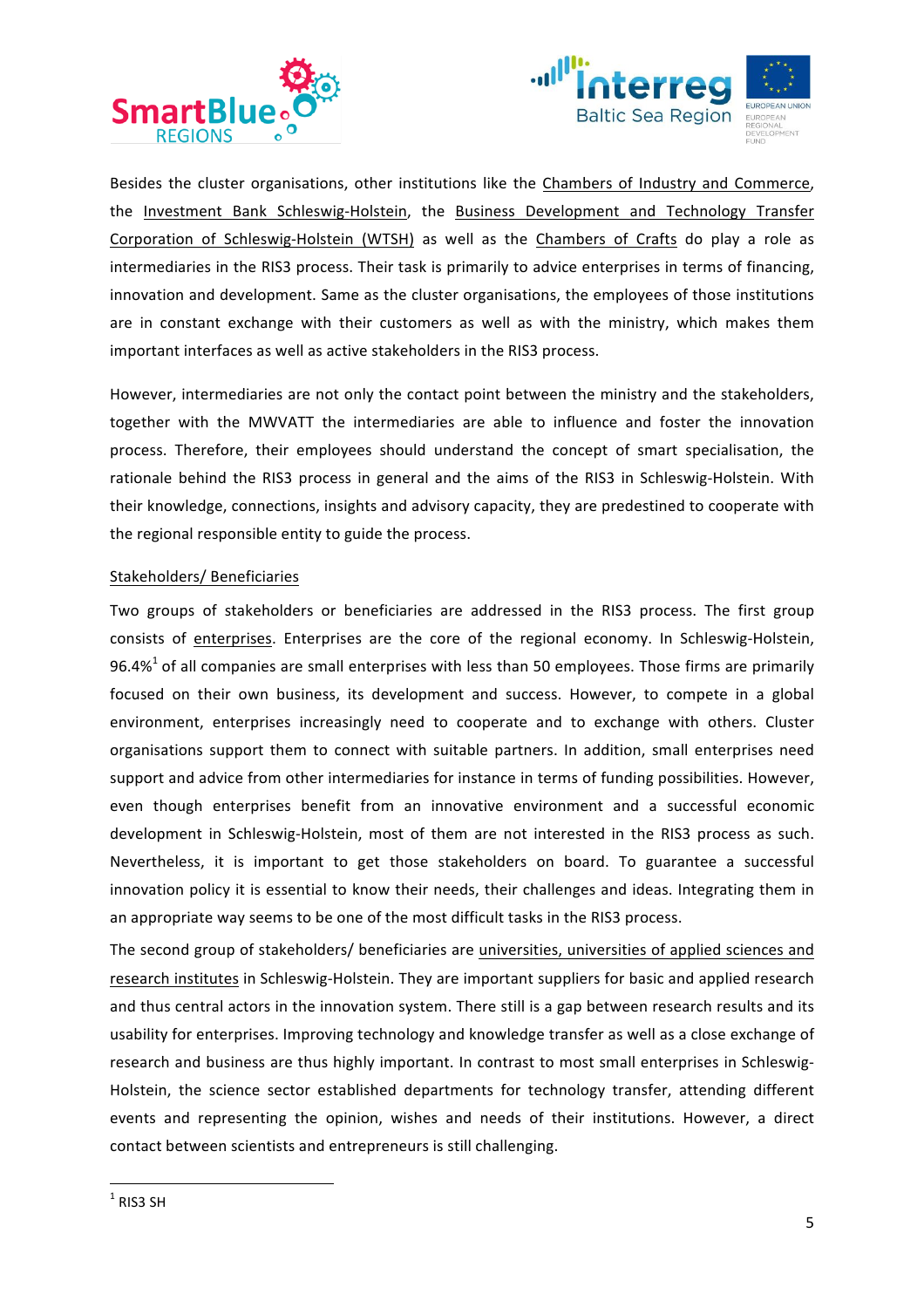



Besides the cluster organisations, other institutions like the Chambers of Industry and Commerce, the Investment Bank Schleswig-Holstein, the Business Development and Technology Transfer Corporation of Schleswig-Holstein (WTSH) as well as the Chambers of Crafts do play a role as intermediaries in the RIS3 process. Their task is primarily to advice enterprises in terms of financing, innovation and development. Same as the cluster organisations, the employees of those institutions are in constant exchange with their customers as well as with the ministry, which makes them important interfaces as well as active stakeholders in the RIS3 process.

However, intermediaries are not only the contact point between the ministry and the stakeholders, together with the MWVATT the intermediaries are able to influence and foster the innovation process. Therefore, their employees should understand the concept of smart specialisation, the rationale behind the RIS3 process in general and the aims of the RIS3 in Schleswig-Holstein. With their knowledge, connections, insights and advisory capacity, they are predestined to cooperate with the regional responsible entity to guide the process.

# Stakeholders/ Beneficiaries

Two groups of stakeholders or beneficiaries are addressed in the RIS3 process. The first group consists of enterprises. Enterprises are the core of the regional economy. In Schleswig-Holstein, 96.4%<sup>1</sup> of all companies are small enterprises with less than 50 employees. Those firms are primarily focused on their own business, its development and success. However, to compete in a global environment, enterprises increasingly need to cooperate and to exchange with others. Cluster organisations support them to connect with suitable partners. In addition, small enterprises need support and advice from other intermediaries for instance in terms of funding possibilities. However, even though enterprises benefit from an innovative environment and a successful economic development in Schleswig-Holstein, most of them are not interested in the RIS3 process as such. Nevertheless, it is important to get those stakeholders on board. To guarantee a successful innovation policy it is essential to know their needs, their challenges and ideas. Integrating them in an appropriate way seems to be one of the most difficult tasks in the RIS3 process.

The second group of stakeholders/ beneficiaries are universities, universities of applied sciences and research institutes in Schleswig-Holstein. They are important suppliers for basic and applied research and thus central actors in the innovation system. There still is a gap between research results and its usability for enterprises. Improving technology and knowledge transfer as well as a close exchange of research and business are thus highly important. In contrast to most small enterprises in Schleswig-Holstein, the science sector established departments for technology transfer, attending different events and representing the opinion, wishes and needs of their institutions. However, a direct contact between scientists and entrepreneurs is still challenging.

 

 $1$  RIS3 SH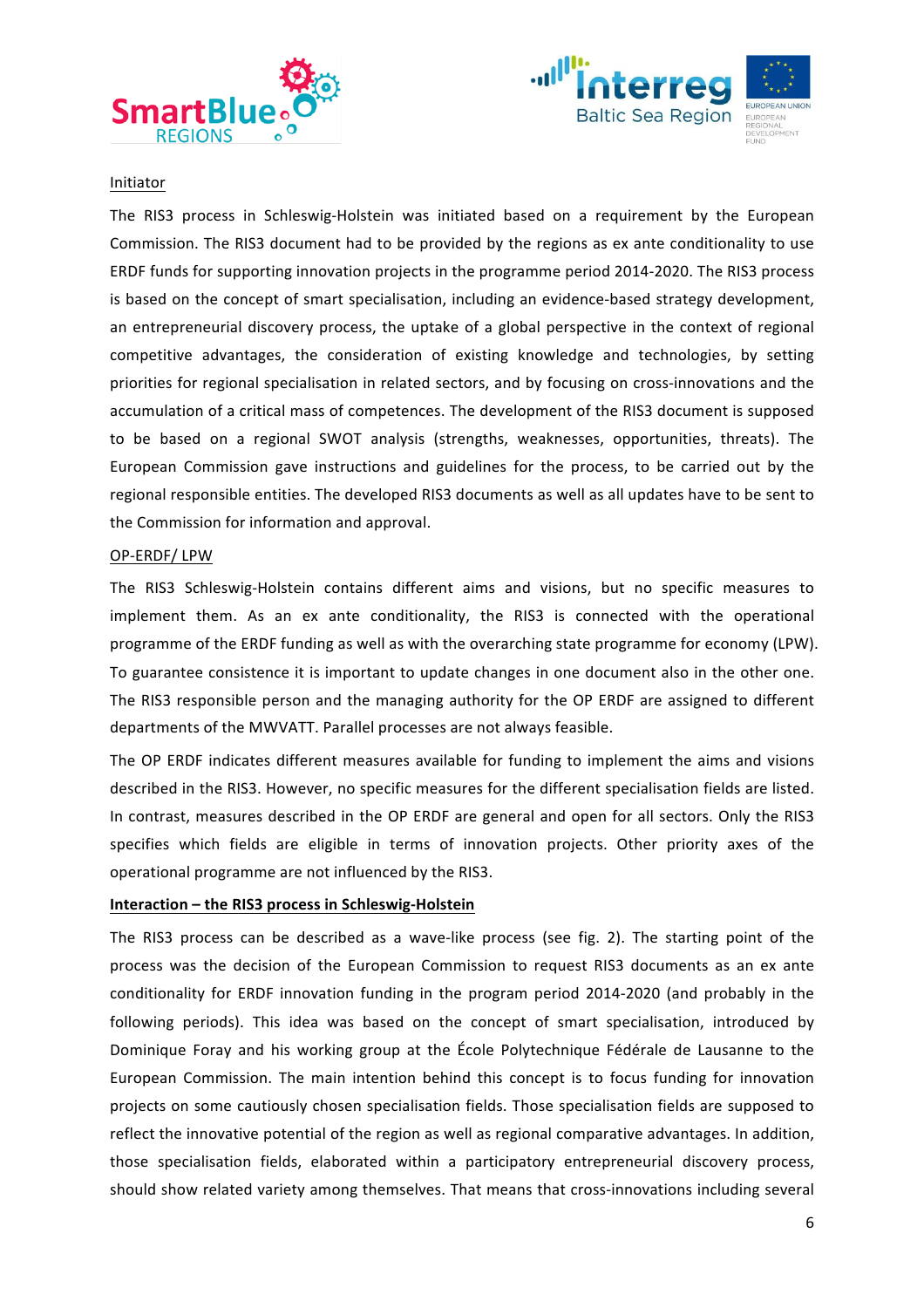



#### Initiator

The RIS3 process in Schleswig-Holstein was initiated based on a requirement by the European Commission. The RIS3 document had to be provided by the regions as ex ante conditionality to use ERDF funds for supporting innovation projects in the programme period 2014-2020. The RIS3 process is based on the concept of smart specialisation, including an evidence-based strategy development, an entrepreneurial discovery process, the uptake of a global perspective in the context of regional competitive advantages, the consideration of existing knowledge and technologies, by setting priorities for regional specialisation in related sectors, and by focusing on cross-innovations and the accumulation of a critical mass of competences. The development of the RIS3 document is supposed to be based on a regional SWOT analysis (strengths, weaknesses, opportunities, threats). The European Commission gave instructions and guidelines for the process, to be carried out by the regional responsible entities. The developed RIS3 documents as well as all updates have to be sent to the Commission for information and approval.

#### OP-ERDF/LPW

The RIS3 Schleswig-Holstein contains different aims and visions, but no specific measures to implement them. As an ex ante conditionality, the RIS3 is connected with the operational programme of the ERDF funding as well as with the overarching state programme for economy (LPW). To guarantee consistence it is important to update changes in one document also in the other one. The RIS3 responsible person and the managing authority for the OP ERDF are assigned to different departments of the MWVATT. Parallel processes are not always feasible.

The OP ERDF indicates different measures available for funding to implement the aims and visions described in the RIS3. However, no specific measures for the different specialisation fields are listed. In contrast, measures described in the OP ERDF are general and open for all sectors. Only the RIS3 specifies which fields are eligible in terms of innovation projects. Other priority axes of the operational programme are not influenced by the RIS3.

## **Interaction – the RIS3 process in Schleswig-Holstein**

The RIS3 process can be described as a wave-like process (see fig. 2). The starting point of the process was the decision of the European Commission to request RIS3 documents as an ex ante conditionality for ERDF innovation funding in the program period 2014-2020 (and probably in the following periods). This idea was based on the concept of smart specialisation, introduced by Dominique Foray and his working group at the École Polytechnique Fédérale de Lausanne to the European Commission. The main intention behind this concept is to focus funding for innovation projects on some cautiously chosen specialisation fields. Those specialisation fields are supposed to reflect the innovative potential of the region as well as regional comparative advantages. In addition, those specialisation fields, elaborated within a participatory entrepreneurial discovery process, should show related variety among themselves. That means that cross-innovations including several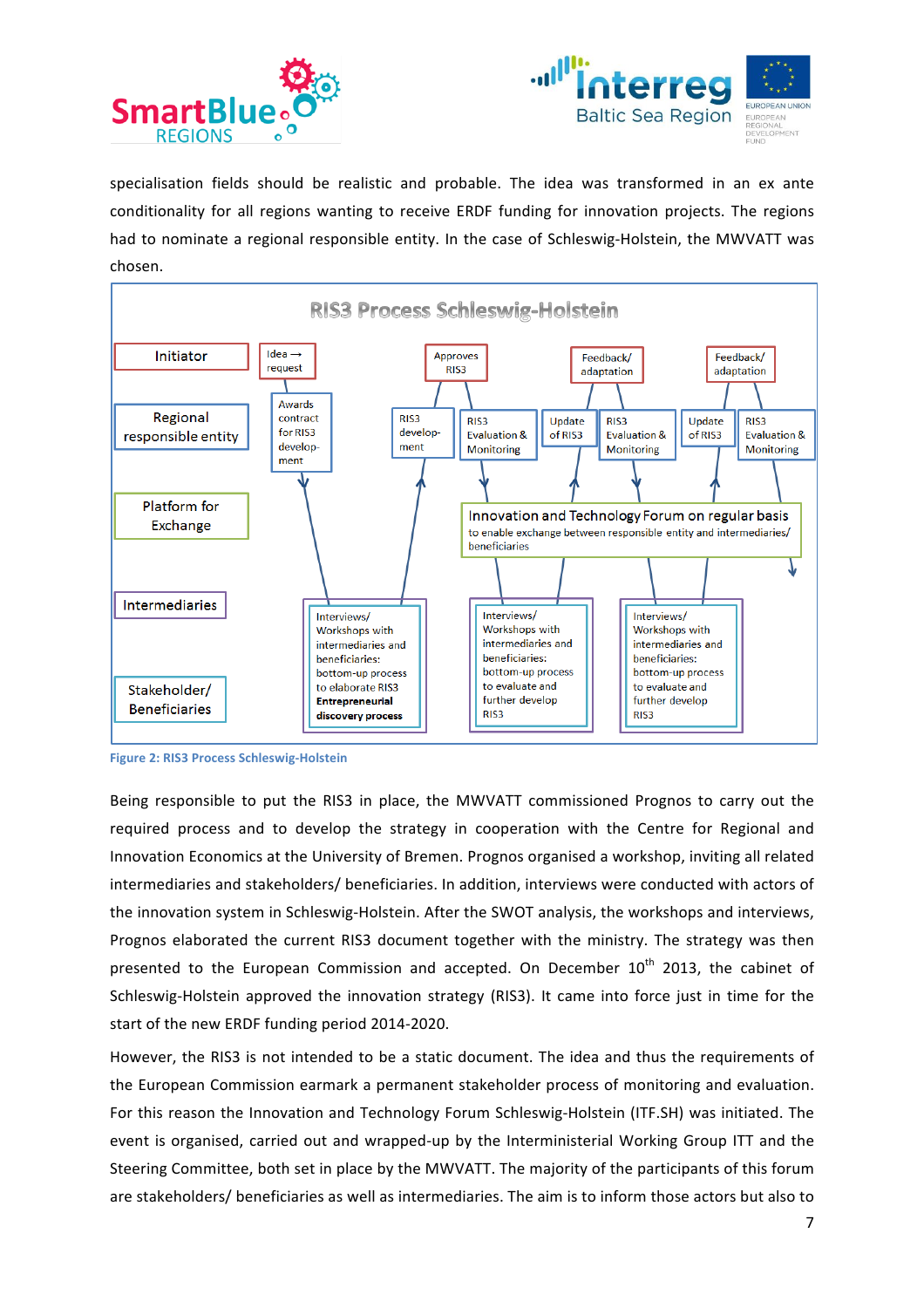



specialisation fields should be realistic and probable. The idea was transformed in an ex ante conditionality for all regions wanting to receive ERDF funding for innovation projects. The regions had to nominate a regional responsible entity. In the case of Schleswig-Holstein, the MWVATT was chosen.



**Figure 2: RIS3 Process Schleswig-Holstein** 

Being responsible to put the RIS3 in place, the MWVATT commissioned Prognos to carry out the required process and to develop the strategy in cooperation with the Centre for Regional and Innovation Economics at the University of Bremen. Prognos organised a workshop, inviting all related intermediaries and stakeholders/ beneficiaries. In addition, interviews were conducted with actors of the innovation system in Schleswig-Holstein. After the SWOT analysis, the workshops and interviews, Prognos elaborated the current RIS3 document together with the ministry. The strategy was then presented to the European Commission and accepted. On December  $10<sup>th</sup>$  2013, the cabinet of Schleswig-Holstein approved the innovation strategy (RIS3). It came into force just in time for the start of the new ERDF funding period 2014-2020.

However, the RIS3 is not intended to be a static document. The idea and thus the requirements of the European Commission earmark a permanent stakeholder process of monitoring and evaluation. For this reason the Innovation and Technology Forum Schleswig-Holstein (ITF.SH) was initiated. The event is organised, carried out and wrapped-up by the Interministerial Working Group ITT and the Steering Committee, both set in place by the MWVATT. The majority of the participants of this forum are stakeholders/ beneficiaries as well as intermediaries. The aim is to inform those actors but also to